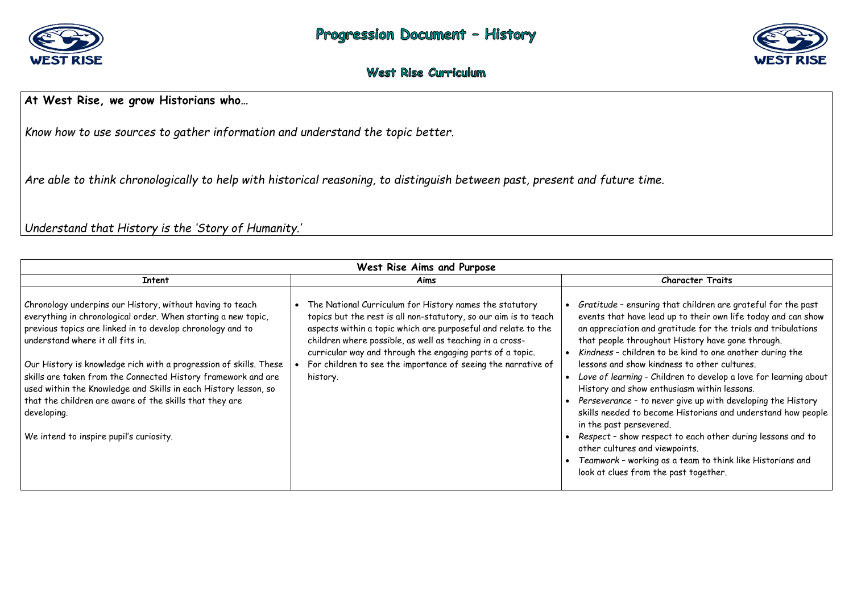

### **West Rise Curriculum**

## **At West Rise, we grow Historians who…**

*Know how to use sources to gather information and understand the topic better.* 

*Are able to think chronologically to help with historical reasoning, to distinguish between past, present and future time.* 

*Understand that History is the 'Story of Humanity.'*

|                                                                                                                                                                                                                                                                                                                                                                                                                                                                                                                                                            | West Rise Aims and Purpose                                                                                                                                                                                                                                                                                                                                                                         |                                                                                                                                                                                                                                                                                                                        |  |
|------------------------------------------------------------------------------------------------------------------------------------------------------------------------------------------------------------------------------------------------------------------------------------------------------------------------------------------------------------------------------------------------------------------------------------------------------------------------------------------------------------------------------------------------------------|----------------------------------------------------------------------------------------------------------------------------------------------------------------------------------------------------------------------------------------------------------------------------------------------------------------------------------------------------------------------------------------------------|------------------------------------------------------------------------------------------------------------------------------------------------------------------------------------------------------------------------------------------------------------------------------------------------------------------------|--|
| <b>Intent</b>                                                                                                                                                                                                                                                                                                                                                                                                                                                                                                                                              | Aims                                                                                                                                                                                                                                                                                                                                                                                               |                                                                                                                                                                                                                                                                                                                        |  |
| Chronology underpins our History, without having to teach<br>everything in chronological order. When starting a new topic,<br>previous topics are linked in to develop chronology and to<br>understand where it all fits in.<br>Our History is knowledge rich with a progression of skills. These<br>skills are taken from the Connected History framework and are<br>used within the Knowledge and Skills in each History lesson, so<br>that the children are aware of the skills that they are<br>developing.<br>We intend to inspire pupil's curiosity. | The National Curriculum for History names the statutory<br>topics but the rest is all non-statutory, so our aim is to teach<br>aspects within a topic which are purposeful and relate to the<br>children where possible, as well as teaching in a cross-<br>curricular way and through the engaging parts of a topic.<br>For children to see the importance of seeing the narrative of<br>history. | Gratitude - ensur<br>events that have<br>an appreciation a<br>that people throu<br>Kindness - childro<br>lessons and show<br>Love of learning -<br>History and show<br>Perseverance - to<br>skills needed to b<br>in the past perse<br>Respect - show re<br>other cultures an<br>Teamwork - work<br>look at clues fror |  |



#### **Character Traits**

ring that children are grateful for the past lead up to their own life today and can show and gratitude for the trials and tribulations ughout History have gone through.

ren to be kind to one another during the kindness to other cultures.

 *Love of learning* - Children to develop a love for learning about enthusiasm within lessons.

o never give up with developing the History become Historians and understand how people evered.

respect to each other during lessons and to nd viewpoints.

 *Teamwork* – working as a team to think like Historians and m the past together.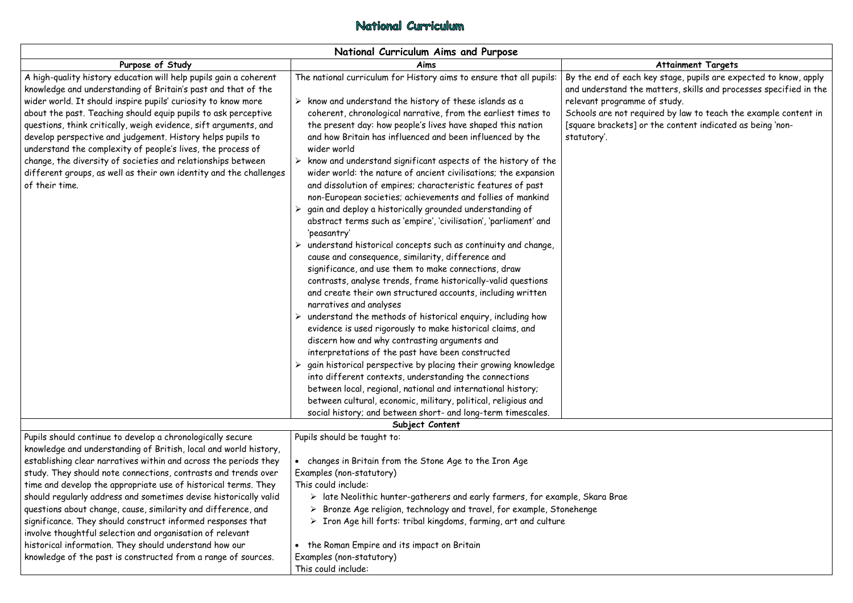## National Curriculum

|                                                                                                                                                                                                                                                                                                                                                                                                                                                                                                                                                                                                                                                                                                                                    | National Curriculum Aims and Purpose                                                                                                                                                                                                                                                                                                                                                                                                                                                                                                                                                                                                                                                                                                                                                                                                                                                                                                                                                                                                                                                                                                                                                                                                                                                                                                                                                                                                                                                                                                                                                                                                                                                                                         |                                                                                                                                 |
|------------------------------------------------------------------------------------------------------------------------------------------------------------------------------------------------------------------------------------------------------------------------------------------------------------------------------------------------------------------------------------------------------------------------------------------------------------------------------------------------------------------------------------------------------------------------------------------------------------------------------------------------------------------------------------------------------------------------------------|------------------------------------------------------------------------------------------------------------------------------------------------------------------------------------------------------------------------------------------------------------------------------------------------------------------------------------------------------------------------------------------------------------------------------------------------------------------------------------------------------------------------------------------------------------------------------------------------------------------------------------------------------------------------------------------------------------------------------------------------------------------------------------------------------------------------------------------------------------------------------------------------------------------------------------------------------------------------------------------------------------------------------------------------------------------------------------------------------------------------------------------------------------------------------------------------------------------------------------------------------------------------------------------------------------------------------------------------------------------------------------------------------------------------------------------------------------------------------------------------------------------------------------------------------------------------------------------------------------------------------------------------------------------------------------------------------------------------------|---------------------------------------------------------------------------------------------------------------------------------|
| Purpose of Study                                                                                                                                                                                                                                                                                                                                                                                                                                                                                                                                                                                                                                                                                                                   | Aims                                                                                                                                                                                                                                                                                                                                                                                                                                                                                                                                                                                                                                                                                                                                                                                                                                                                                                                                                                                                                                                                                                                                                                                                                                                                                                                                                                                                                                                                                                                                                                                                                                                                                                                         |                                                                                                                                 |
| A high-quality history education will help pupils gain a coherent<br>knowledge and understanding of Britain's past and that of the<br>wider world. It should inspire pupils' curiosity to know more<br>about the past. Teaching should equip pupils to ask perceptive<br>questions, think critically, weigh evidence, sift arguments, and<br>develop perspective and judgement. History helps pupils to<br>understand the complexity of people's lives, the process of<br>change, the diversity of societies and relationships between<br>different groups, as well as their own identity and the challenges<br>of their time.                                                                                                     | The national curriculum for History aims to ensure that all pupils:<br>$\triangleright$ know and understand the history of these islands as a<br>coherent, chronological narrative, from the earliest times to<br>the present day: how people's lives have shaped this nation<br>and how Britain has influenced and been influenced by the<br>wider world<br>$\triangleright$ know and understand significant aspects of the history of the<br>wider world: the nature of ancient civilisations; the expansion<br>and dissolution of empires; characteristic features of past<br>non-European societies; achievements and follies of mankind<br>gain and deploy a historically grounded understanding of<br>abstract terms such as 'empire', 'civilisation', 'parliament' and<br>'peasantry'<br>understand historical concepts such as continuity and change,<br>cause and consequence, similarity, difference and<br>significance, and use them to make connections, draw<br>contrasts, analyse trends, frame historically-valid questions<br>and create their own structured accounts, including written<br>narratives and analyses<br>understand the methods of historical enquiry, including how<br>➤<br>evidence is used rigorously to make historical claims, and<br>discern how and why contrasting arguments and<br>interpretations of the past have been constructed<br>$\triangleright$ gain historical perspective by placing their growing knowledge<br>into different contexts, understanding the connections<br>between local, regional, national and international history;<br>between cultural, economic, military, political, religious and<br>social history; and between short- and long-term timescales. | By the end of each I<br>and understand the<br>relevant programme<br>Schools are not requ<br>[square brackets] or<br>statutory'. |
|                                                                                                                                                                                                                                                                                                                                                                                                                                                                                                                                                                                                                                                                                                                                    | Subject Content                                                                                                                                                                                                                                                                                                                                                                                                                                                                                                                                                                                                                                                                                                                                                                                                                                                                                                                                                                                                                                                                                                                                                                                                                                                                                                                                                                                                                                                                                                                                                                                                                                                                                                              |                                                                                                                                 |
| Pupils should continue to develop a chronologically secure<br>knowledge and understanding of British, local and world history,<br>establishing clear narratives within and across the periods they<br>study. They should note connections, contrasts and trends over<br>time and develop the appropriate use of historical terms. They<br>should regularly address and sometimes devise historically valid<br>questions about change, cause, similarity and difference, and<br>significance. They should construct informed responses that<br>involve thoughtful selection and organisation of relevant<br>historical information. They should understand how our<br>knowledge of the past is constructed from a range of sources. | Pupils should be taught to:<br>changes in Britain from the Stone Age to the Iron Age<br>Examples (non-statutory)<br>This could include:<br>$\triangleright$ late Neolithic hunter-gatherers and early farmers, for example, Skara Brae<br>Bronze Age religion, technology and travel, for example, Stonehenge<br>➤<br>$\triangleright$ Iron Age hill forts: tribal kingdoms, farming, art and culture<br>the Roman Empire and its impact on Britain<br>Examples (non-statutory)<br>This could include:                                                                                                                                                                                                                                                                                                                                                                                                                                                                                                                                                                                                                                                                                                                                                                                                                                                                                                                                                                                                                                                                                                                                                                                                                       |                                                                                                                                 |

### **Attainment Targets**

key stage, pupils are expected to know, apply matters, skills and processes specified in the relefind to the study.

uired by law to teach the example content in r the content indicated as being 'non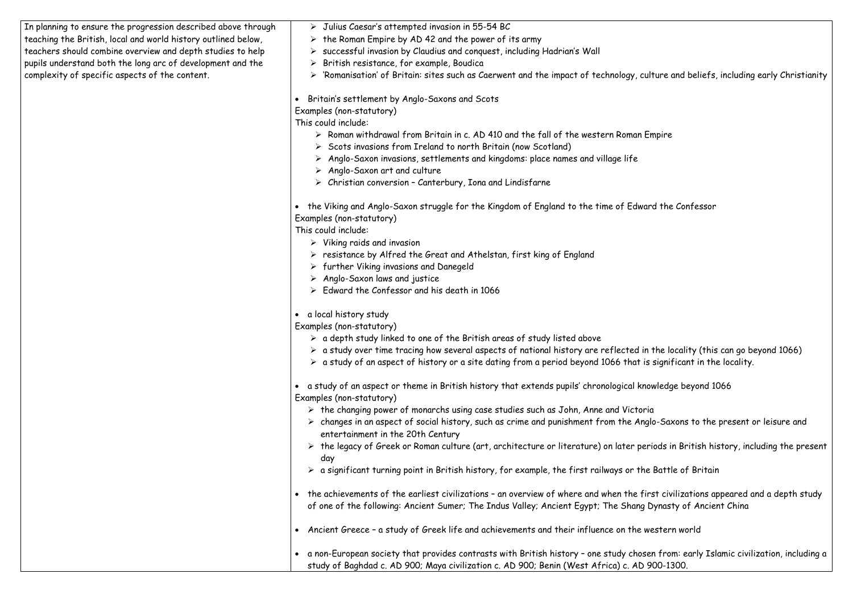In planning to ensure the progression described above through teaching the British, local and world history outlined below, teachers should combine overview and depth studies to help pupils understand both the long arc of development and the complexity of specific aspects of the content.

- $\triangleright$  Julius Caesar's attempted invasion in 55-54 BC
- $\triangleright$  the Roman Empire by AD 42 and the power of its army
- $\triangleright$  successful invasion by Claudius and conquest, including Hadrian's Wall
- $\triangleright$  British resistance, for example, Boudica
- 'Romanisation' of Britain: sites such as Caerwent and the impact of technology, culture and beliefs, including early Christianity

Britain's settlement by Anglo-Saxons and Scots

Examples (non-statutory)

This could include:

- $\triangleright$  Roman withdrawal from Britain in c. AD 410 and the fall of the western Roman Empire
- $\triangleright$  Scots invasions from Ireland to north Britain (now Scotland)
- $\triangleright$  Anglo-Saxon invasions, settlements and kingdoms: place names and village life
- $\triangleright$  Anglo-Saxon art and culture
- $\triangleright$  Christian conversion Canterbury, Iona and Lindisfarne

 the Viking and Anglo-Saxon struggle for the Kingdom of England to the time of Edward the Confessor Examples (non-statutory)

This could include:

- $\triangleright$  Viking raids and invasion
- $\triangleright$  resistance by Alfred the Great and Athelstan, first king of England
- $\triangleright$  further Viking invasions and Danegeld
- $\triangleright$  Anglo-Saxon laws and justice
- $\triangleright$  Edward the Confessor and his death in 1066

a local history study

Examples (non-statutory)

- $\triangleright$  a depth study linked to one of the British areas of study listed above
- $\triangleright$  a study over time tracing how several aspects of national history are reflected in the locality (this can go beyond 1066)
- $\triangleright$  a study of an aspect of history or a site dating from a period beyond 1066 that is significant in the locality.

- $\triangleright$  the changing power of monarchs using case studies such as John, Anne and Victoria
- changes in an aspect of social history, such as crime and punishment from the Anglo-Saxons to the present or leisure and entertainment in the 20th Century
- the legacy of Greek or Roman culture (art, architecture or literature) on later periods in British history, including the present day
- a significant turning point in British history, for example, the first railways or the Battle of Britain
- the achievements of the earliest civilizations an overview of where and when the first civilizations appeared and a depth study of one of the following: Ancient Sumer; The Indus Valley; Ancient Egypt; The Shang Dynasty of Ancient China
- Ancient Greece a study of Greek life and achievements and their influence on the western world
- a non-European society that provides contrasts with British history one study chosen from: early Islamic civilization, including a study of Baghdad c. AD 900; Maya civilization c. AD 900; Benin (West Africa) c. AD 900-1300.

 a study of an aspect or theme in British history that extends pupils' chronological knowledge beyond 1066 Examples (non-statutory)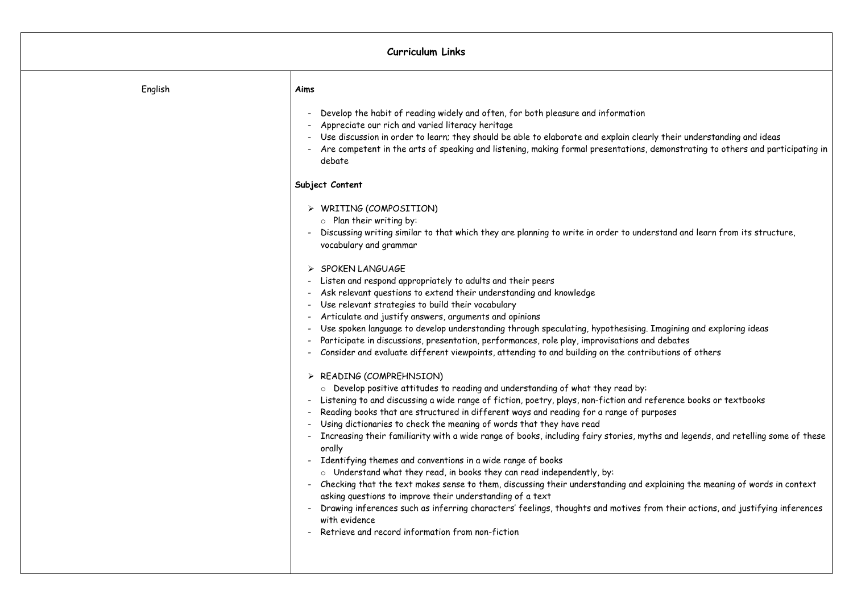| <b>Curriculum Links</b> |                                                                                                                                                                                                                                                                                                                                                                                                                                                                                                                                                                                                                                                                                                                                                                                                                                                                                                                                                                                                                                                                                                                                                                                                                                                                                                                                                                                                                                                                                                                                                                                                                                                                                                                                                                                                                                                                                                                                                                                                                                                                                                                                   |  |
|-------------------------|-----------------------------------------------------------------------------------------------------------------------------------------------------------------------------------------------------------------------------------------------------------------------------------------------------------------------------------------------------------------------------------------------------------------------------------------------------------------------------------------------------------------------------------------------------------------------------------------------------------------------------------------------------------------------------------------------------------------------------------------------------------------------------------------------------------------------------------------------------------------------------------------------------------------------------------------------------------------------------------------------------------------------------------------------------------------------------------------------------------------------------------------------------------------------------------------------------------------------------------------------------------------------------------------------------------------------------------------------------------------------------------------------------------------------------------------------------------------------------------------------------------------------------------------------------------------------------------------------------------------------------------------------------------------------------------------------------------------------------------------------------------------------------------------------------------------------------------------------------------------------------------------------------------------------------------------------------------------------------------------------------------------------------------------------------------------------------------------------------------------------------------|--|
| English                 | Aims                                                                                                                                                                                                                                                                                                                                                                                                                                                                                                                                                                                                                                                                                                                                                                                                                                                                                                                                                                                                                                                                                                                                                                                                                                                                                                                                                                                                                                                                                                                                                                                                                                                                                                                                                                                                                                                                                                                                                                                                                                                                                                                              |  |
|                         | Develop the habit of reading widely and often, for both pleasure and information<br>Appreciate our rich and varied literacy heritage<br>Use discussion in order to learn; they should be able to elaborate and explain clearly their<br>Are competent in the arts of speaking and listening, making formal presentations, demons<br>debate<br>Subject Content<br>> WRITING (COMPOSITION)<br>$\circ$ Plan their writing by:<br>Discussing writing similar to that which they are planning to write in order to understand<br>vocabulary and grammar<br>$\triangleright$ SPOKEN LANGUAGE<br>Listen and respond appropriately to adults and their peers<br>Ask relevant questions to extend their understanding and knowledge<br>Use relevant strategies to build their vocabulary<br>Articulate and justify answers, arguments and opinions<br>Use spoken language to develop understanding through speculating, hypothesising. Imagin<br>Participate in discussions, presentation, performances, role play, improvisations and debat<br>Consider and evaluate different viewpoints, attending to and building on the contributions<br>$\triangleright$ READING (COMPREHNSION)<br>$\circ$ Develop positive attitudes to reading and understanding of what they read by:<br>Listening to and discussing a wide range of fiction, poetry, plays, non-fiction and referenc<br>Reading books that are structured in different ways and reading for a range of purposes<br>Using dictionaries to check the meaning of words that they have read<br>Increasing their familiarity with a wide range of books, including fairy stories, myths and<br>orally<br>Identifying themes and conventions in a wide range of books<br>$-$<br>$\circ$ Understand what they read, in books they can read independently, by:<br>Checking that the text makes sense to them, discussing their understanding and explainir<br>asking questions to improve their understanding of a text<br>Drawing inferences such as inferring characters' feelings, thoughts and motives from the<br>with evidence<br>Retrieve and record information from non-fiction |  |

rly their understanding and ideas , demonstrating to others and participating in

erstand and learn from its structure,

. Imagining and exploring ideas nd debates ibutions of others

reference books or textbooks

rths and legends, and retelling some of these,  $\epsilon$ 

explaining the meaning of words in context

.<br>' rom their actions, and justifying inferences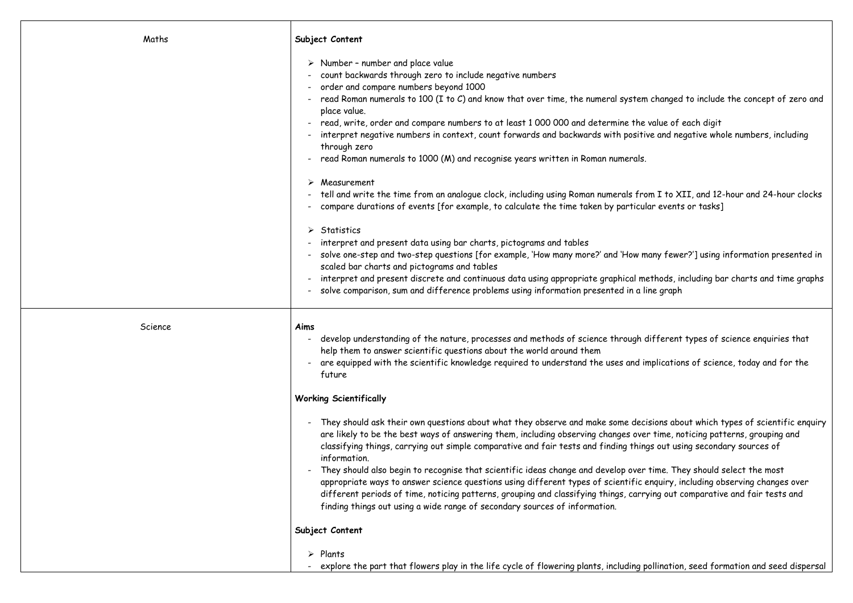| Maths   | Subject Content                                                                                                                                                                                                                                                                                                                                                                                                                                                                                                                                                                                                                |
|---------|--------------------------------------------------------------------------------------------------------------------------------------------------------------------------------------------------------------------------------------------------------------------------------------------------------------------------------------------------------------------------------------------------------------------------------------------------------------------------------------------------------------------------------------------------------------------------------------------------------------------------------|
|         | $\triangleright$ Number - number and place value<br>count backwards through zero to include negative numbers<br>order and compare numbers beyond 1000<br>- read Roman numerals to 100 (I to C) and know that over time, the numeral system<br>place value.<br>read, write, order and compare numbers to at least 1 000 000 and determine the<br>interpret negative numbers in context, count forwards and backwards with positiv<br>through zero<br>read Roman numerals to 1000 (M) and recognise years written in Roman numerals.                                                                                             |
|         | Measurement<br>tell and write the time from an analogue clock, including using Roman numerals fro<br>compare durations of events [for example, to calculate the time taken by particule                                                                                                                                                                                                                                                                                                                                                                                                                                        |
|         | $\triangleright$ Statistics<br>interpret and present data using bar charts, pictograms and tables<br>solve one-step and two-step questions [for example, 'How many more?' and 'How m<br>scaled bar charts and pictograms and tables<br>interpret and present discrete and continuous data using appropriate graphical me<br>solve comparison, sum and difference problems using information presented in a li                                                                                                                                                                                                                  |
| Science | Aims<br>develop understanding of the nature, processes and methods of science through d<br>help them to answer scientific questions about the world around them<br>are equipped with the scientific knowledge required to understand the uses and in<br>future                                                                                                                                                                                                                                                                                                                                                                 |
|         | <b>Working Scientifically</b>                                                                                                                                                                                                                                                                                                                                                                                                                                                                                                                                                                                                  |
|         | They should ask their own questions about what they observe and make some deci.<br>are likely to be the best ways of answering them, including observing changes over<br>classifying things, carrying out simple comparative and fair tests and finding thing<br>information.<br>They should also begin to recognise that scientific ideas change and develop over<br>appropriate ways to answer science questions using different types of scientific e<br>different periods of time, noticing patterns, grouping and classifying things, carry<br>finding things out using a wide range of secondary sources of information. |
|         | Subject Content                                                                                                                                                                                                                                                                                                                                                                                                                                                                                                                                                                                                                |
|         | $\triangleright$ Plants<br>explore the part that flowers play in the life cycle of flowering plants, including p                                                                                                                                                                                                                                                                                                                                                                                                                                                                                                               |

m changed to include the concept of zero and

value of each digit ive and negative whole numbers, including

om I to XII, and 12-hour and 24-hour clocks llar events or tasks]

many fewer?'] using information presented in

nethods, including bar charts and time graphs ine graph

different types of science enquiries that

implications of science, today and for the

isions about which types of scientific enquiry er time, noticing patterns, grouping and ngs out using secondary sources of

time. They should select the most enquiry, including observing changes over ying out comparative and fair tests and  $\overline{\phantom{a}}$ 

pollination, seed formation and seed dispersal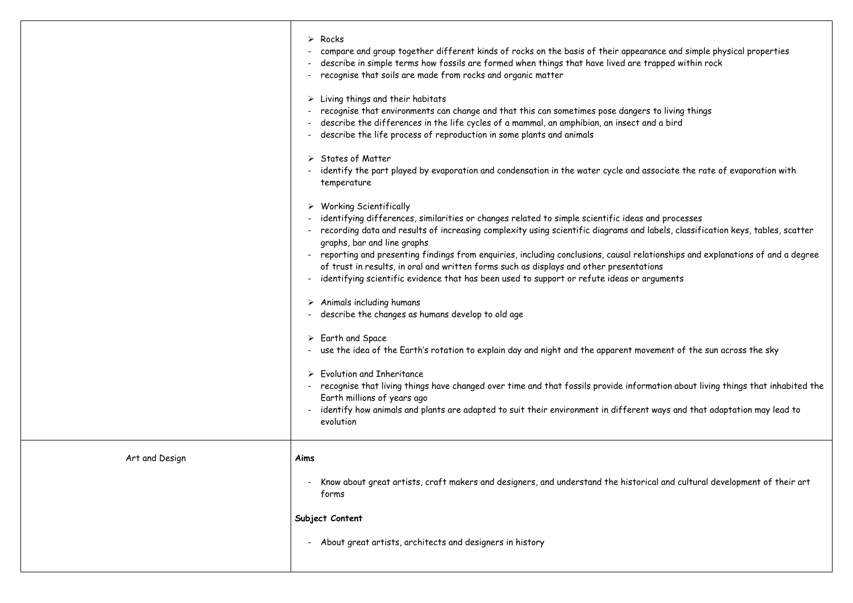|                | $\triangleright$ Rocks<br>compare and group together different kinds of rocks on the basis of their appearance and<br>describe in simple terms how fossils are formed when things that have lived are trapped w<br>recognise that soils are made from rocks and organic matter                                                                                                                                                                                                                                                                                     |
|----------------|--------------------------------------------------------------------------------------------------------------------------------------------------------------------------------------------------------------------------------------------------------------------------------------------------------------------------------------------------------------------------------------------------------------------------------------------------------------------------------------------------------------------------------------------------------------------|
|                | Living things and their habitats<br>recognise that environments can change and that this can sometimes pose dangers to living<br>describe the differences in the life cycles of a mammal, an amphibian, an insect and a bird<br>describe the life process of reproduction in some plants and animals                                                                                                                                                                                                                                                               |
|                | <b>States of Matter</b><br>➤<br>identify the part played by evaporation and condensation in the water cycle and associate t<br>temperature                                                                                                                                                                                                                                                                                                                                                                                                                         |
|                | $\triangleright$ Working Scientifically<br>identifying differences, similarities or changes related to simple scientific ideas and proce<br>recording data and results of increasing complexity using scientific diagrams and labels, clo<br>graphs, bar and line graphs<br>reporting and presenting findings from enquiries, including conclusions, causal relationships<br>of trust in results, in oral and written forms such as displays and other presentations<br>identifying scientific evidence that has been used to support or refute ideas or arguments |
|                | $\triangleright$ Animals including humans<br>- describe the changes as humans develop to old age                                                                                                                                                                                                                                                                                                                                                                                                                                                                   |
|                | $\triangleright$ Earth and Space<br>- use the idea of the Earth's rotation to explain day and night and the apparent movement of                                                                                                                                                                                                                                                                                                                                                                                                                                   |
|                | <b>Evolution and Inheritance</b><br>recognise that living things have changed over time and that fossils provide information ab<br>Earth millions of years ago<br>identify how animals and plants are adapted to suit their environment in different ways and<br>evolution                                                                                                                                                                                                                                                                                         |
| Art and Design | Aims                                                                                                                                                                                                                                                                                                                                                                                                                                                                                                                                                               |
|                | Know about great artists, craft makers and designers, and understand the historical and cu<br>forms                                                                                                                                                                                                                                                                                                                                                                                                                                                                |
|                | Subject Content                                                                                                                                                                                                                                                                                                                                                                                                                                                                                                                                                    |
|                | About great artists, architects and designers in history                                                                                                                                                                                                                                                                                                                                                                                                                                                                                                           |
|                |                                                                                                                                                                                                                                                                                                                                                                                                                                                                                                                                                                    |

ance and simple physical properties  $\epsilon$  rapped within rock to living things i ssociate the rate of evaporation with ind processes labels, classification keys, tables, scatter rtionships and explanations of and a degree rguments

vement of the sun across the sky

nation about living things that inhabited the

ways and that adaptation may lead to

.<br>Cal and cultural development of their art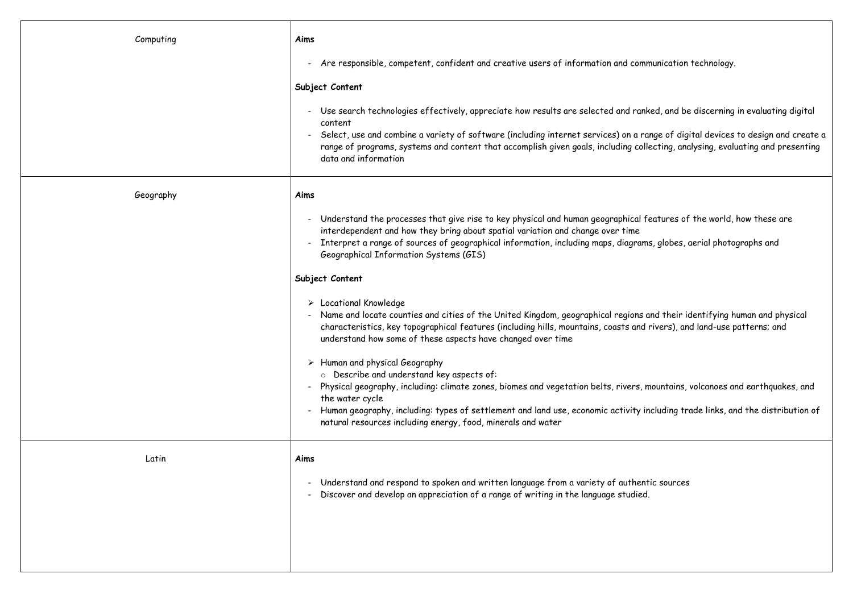| Computing | Aims                                                                                                                                                                                                                                                                                                                                     |
|-----------|------------------------------------------------------------------------------------------------------------------------------------------------------------------------------------------------------------------------------------------------------------------------------------------------------------------------------------------|
|           | Are responsible, competent, confident and creative users of information and comm<br>$\blacksquare$                                                                                                                                                                                                                                       |
|           | Subject Content                                                                                                                                                                                                                                                                                                                          |
|           | Use search technologies effectively, appreciate how results are selected and ranke<br>$\blacksquare$<br>content<br>Select, use and combine a variety of software (including internet services) on a rar<br>$\blacksquare$<br>range of programs, systems and content that accomplish given goals, including colle<br>data and information |
| Geography | Aims                                                                                                                                                                                                                                                                                                                                     |
|           | Understand the processes that give rise to key physical and human geographical fe<br>$\blacksquare$<br>interdependent and how they bring about spatial variation and change over time<br>Interpret a range of sources of geographical information, including maps, diagrams<br>Geographical Information Systems (GIS)                    |
|           | Subject Content                                                                                                                                                                                                                                                                                                                          |
|           | $\triangleright$ Locational Knowledge<br>Name and locate counties and cities of the United Kingdom, geographical regions an<br>$\blacksquare$<br>characteristics, key topographical features (including hills, mountains, coasts and r<br>understand how some of these aspects have changed over time                                    |
|           | $\triangleright$ Human and physical Geography                                                                                                                                                                                                                                                                                            |
|           | o Describe and understand key aspects of:<br>Physical geography, including: climate zones, biomes and vegetation belts, rivers, m                                                                                                                                                                                                        |
|           | the water cycle<br>Human geography, including: types of settlement and land use, economic activity in<br>natural resources including energy, food, minerals and water                                                                                                                                                                    |
| Latin     | Aims                                                                                                                                                                                                                                                                                                                                     |
|           | Understand and respond to spoken and written language from a variety of authenti<br>Discover and develop an appreciation of a range of writing in the language studied.                                                                                                                                                                  |
|           |                                                                                                                                                                                                                                                                                                                                          |

nmunication technology.

hked, and be discerning in evaluating digital

range of digital devices to design and create a  $\overline{\phantom{a}}$ llecting, analysing, evaluating and presenting

features of the world, how these are

ms, globes, aerial photographs and

and their identifying human and physical l rivers), and land-use patterns; and

mountains, volcanoes and earthquakes, and

including trade links, and the distribution of

ntic sources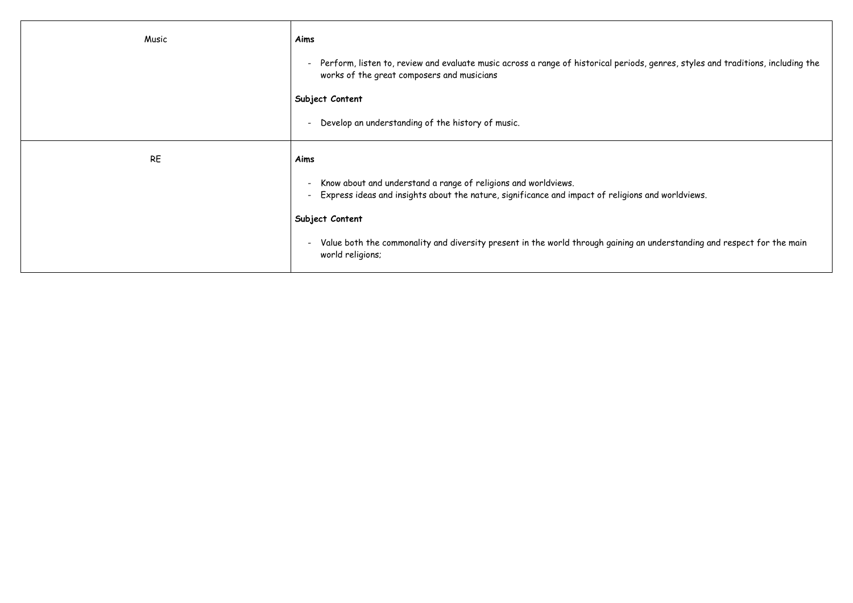| Music     | Aims                                                                                                                                                                                                 |
|-----------|------------------------------------------------------------------------------------------------------------------------------------------------------------------------------------------------------|
|           | Perform, listen to, review and evaluate music across a range of historical periods,<br>$\blacksquare$<br>works of the great composers and musicians                                                  |
|           | Subject Content                                                                                                                                                                                      |
|           | Develop an understanding of the history of music.<br>$\blacksquare$                                                                                                                                  |
| <b>RE</b> | Aims                                                                                                                                                                                                 |
|           | Know about and understand a range of religions and worldviews.<br>$\overline{\phantom{a}}$<br>Express ideas and insights about the nature, significance and impact of religions of<br>$\blacksquare$ |
|           | Subject Content                                                                                                                                                                                      |
|           | Value both the commonality and diversity present in the world through gaining an<br>$\overline{\phantom{a}}$<br>world religions;                                                                     |

, genres, styles and traditions, including the

and worldviews.

i understanding and respect for the main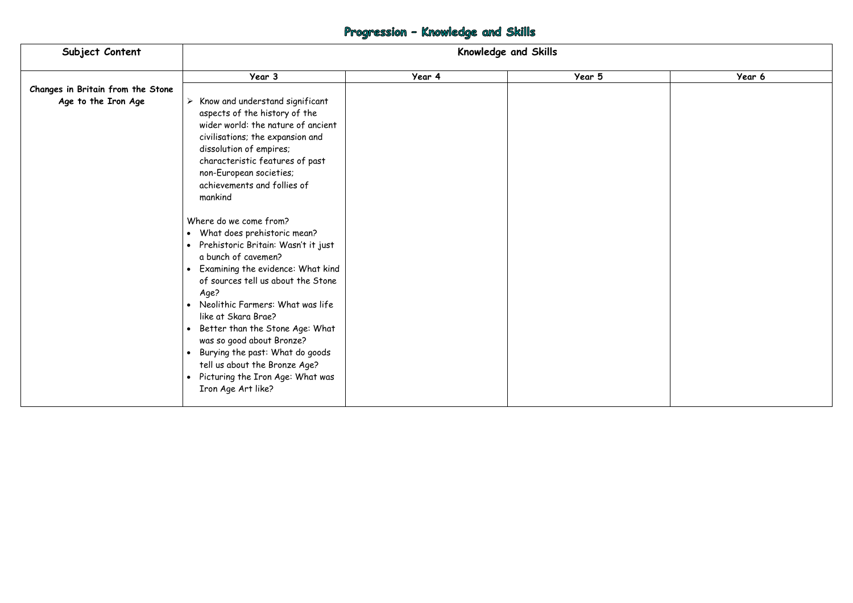# Progression - Knowledge and Skills

| Subject Content                   | Knowledge and Skills                                                                                                                                                                                                                                                                                                                                                                                                                                                                                                                                                                                                                                                                                                                                                            |        |        |        |
|-----------------------------------|---------------------------------------------------------------------------------------------------------------------------------------------------------------------------------------------------------------------------------------------------------------------------------------------------------------------------------------------------------------------------------------------------------------------------------------------------------------------------------------------------------------------------------------------------------------------------------------------------------------------------------------------------------------------------------------------------------------------------------------------------------------------------------|--------|--------|--------|
|                                   | Year 3                                                                                                                                                                                                                                                                                                                                                                                                                                                                                                                                                                                                                                                                                                                                                                          | Year 4 | Year 5 | Year 6 |
| Changes in Britain from the Stone |                                                                                                                                                                                                                                                                                                                                                                                                                                                                                                                                                                                                                                                                                                                                                                                 |        |        |        |
| Age to the Iron Age               | $\triangleright$ Know and understand significant<br>aspects of the history of the<br>wider world: the nature of ancient<br>civilisations; the expansion and<br>dissolution of empires;<br>characteristic features of past<br>non-European societies;<br>achievements and follies of<br>mankind<br>Where do we come from?<br>• What does prehistoric mean?<br>• Prehistoric Britain: Wasn't it just<br>a bunch of cavemen?<br>• Examining the evidence: What kind<br>of sources tell us about the Stone<br>Age?<br>• Neolithic Farmers: What was life<br>like at Skara Brae?<br>• Better than the Stone Age: What<br>was so good about Bronze?<br>• Burying the past: What do goods<br>tell us about the Bronze Age?<br>• Picturing the Iron Age: What was<br>Iron Age Art like? |        |        |        |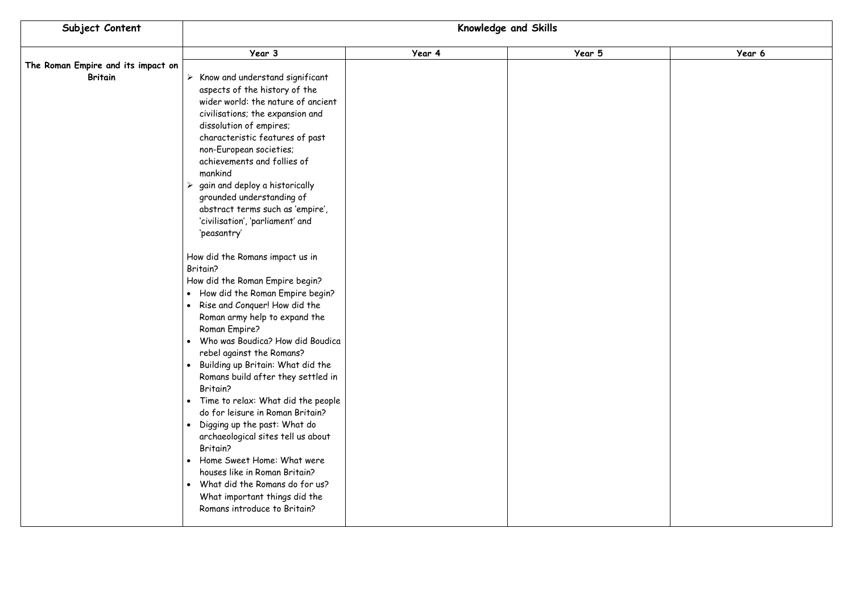

| Subject Content                                      | Knowledge and Skills                                                                                                                                                                                                                                                                                                                                                                                                                                                                                                                                                                                                                                                                                                                                                     |        |        |
|------------------------------------------------------|--------------------------------------------------------------------------------------------------------------------------------------------------------------------------------------------------------------------------------------------------------------------------------------------------------------------------------------------------------------------------------------------------------------------------------------------------------------------------------------------------------------------------------------------------------------------------------------------------------------------------------------------------------------------------------------------------------------------------------------------------------------------------|--------|--------|
|                                                      | Year 3                                                                                                                                                                                                                                                                                                                                                                                                                                                                                                                                                                                                                                                                                                                                                                   | Year 4 | Year 5 |
| The Roman Empire and its impact on<br><b>Britain</b> | Know and understand significant<br>➤<br>aspects of the history of the<br>wider world: the nature of ancient<br>civilisations; the expansion and<br>dissolution of empires;<br>characteristic features of past<br>non-European societies;<br>achievements and follies of<br>mankind<br>gain and deploy a historically<br>➤<br>grounded understanding of<br>abstract terms such as 'empire',<br>'civilisation', 'parliament' and<br>'peasantry'                                                                                                                                                                                                                                                                                                                            |        |        |
|                                                      | How did the Romans impact us in<br>Britain?<br>How did the Roman Empire begin?<br>How did the Roman Empire begin?<br>$\bullet$<br>Rise and Conquer! How did the<br>$\bullet$<br>Roman army help to expand the<br>Roman Empire?<br>Who was Boudica? How did Boudica<br>rebel against the Romans?<br>Building up Britain: What did the<br>$\bullet$<br>Romans build after they settled in<br>Britain?<br>Time to relax: What did the people<br>$\bullet$<br>do for leisure in Roman Britain?<br>Digging up the past: What do<br>archaeological sites tell us about<br>Britain?<br>Home Sweet Home: What were<br>$\bullet$<br>houses like in Roman Britain?<br>What did the Romans do for us?<br>$\bullet$<br>What important things did the<br>Romans introduce to Britain? |        |        |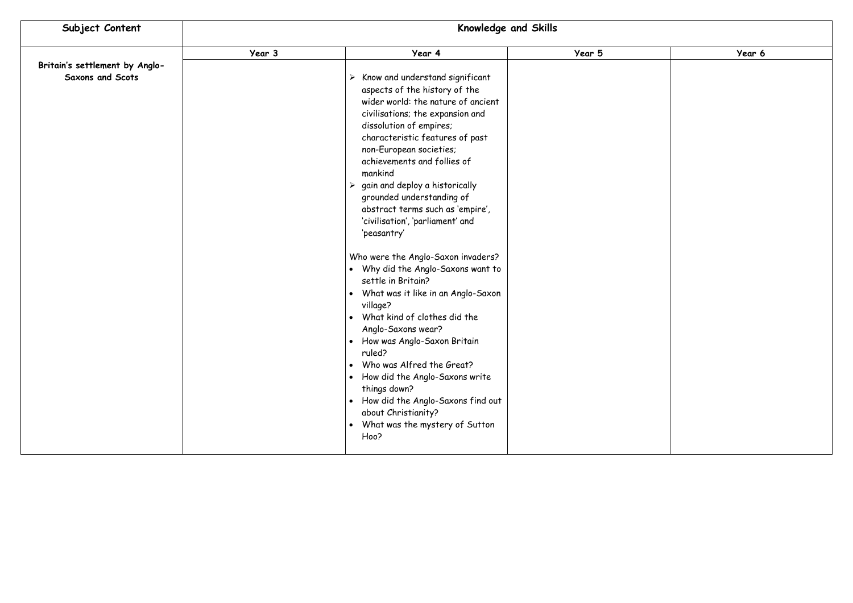

| Subject Content                                           | <b>Knowledge and Skills</b> |                                                                                                                                                                                                                                                                                                                                                                                                                                                                                                                                                                                                                                                                                                                                                                                                                                                                                                                                              |        |
|-----------------------------------------------------------|-----------------------------|----------------------------------------------------------------------------------------------------------------------------------------------------------------------------------------------------------------------------------------------------------------------------------------------------------------------------------------------------------------------------------------------------------------------------------------------------------------------------------------------------------------------------------------------------------------------------------------------------------------------------------------------------------------------------------------------------------------------------------------------------------------------------------------------------------------------------------------------------------------------------------------------------------------------------------------------|--------|
|                                                           | Year 3                      | Year 4                                                                                                                                                                                                                                                                                                                                                                                                                                                                                                                                                                                                                                                                                                                                                                                                                                                                                                                                       | Year 5 |
| Britain's settlement by Anglo-<br><b>Saxons and Scots</b> |                             | $\triangleright$ Know and understand significant<br>aspects of the history of the<br>wider world: the nature of ancient<br>civilisations; the expansion and<br>dissolution of empires;<br>characteristic features of past<br>non-European societies;<br>achievements and follies of<br>mankind<br>$\triangleright$ gain and deploy a historically<br>grounded understanding of<br>abstract terms such as 'empire',<br>'civilisation', 'parliament' and<br>'peasantry'<br>Who were the Anglo-Saxon invaders?<br>• Why did the Anglo-Saxons want to<br>settle in Britain?<br>What was it like in an Anglo-Saxon<br>$\bullet$<br>village?<br>What kind of clothes did the<br>Anglo-Saxons wear?<br>How was Anglo-Saxon Britain<br>ruled?<br>Who was Alfred the Great?<br>How did the Anglo-Saxons write<br>$\bullet$<br>things down?<br>How did the Anglo-Saxons find out<br>$\bullet$<br>about Christianity?<br>What was the mystery of Sutton |        |
|                                                           |                             | Hoo?                                                                                                                                                                                                                                                                                                                                                                                                                                                                                                                                                                                                                                                                                                                                                                                                                                                                                                                                         |        |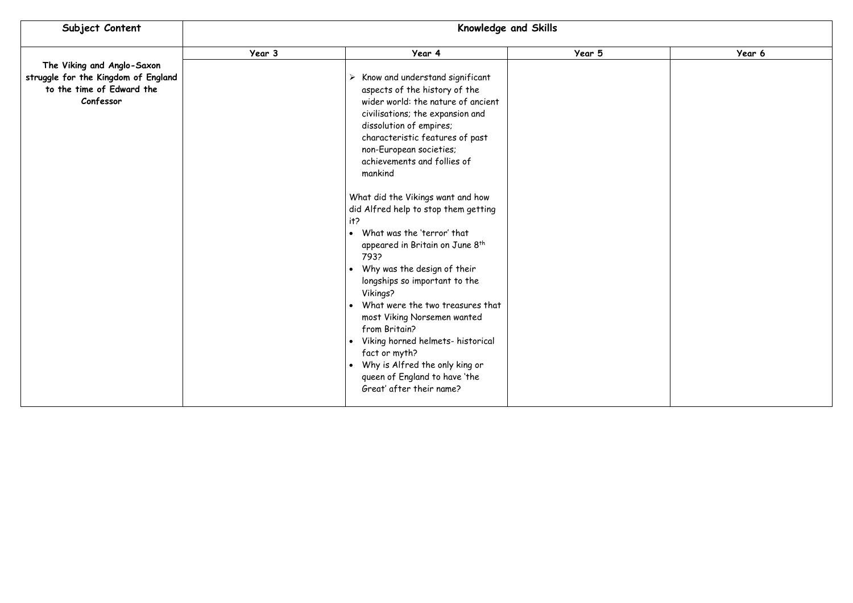

| Subject Content                                                                                             | Knowledge and Skills |                                                                                                                                                                                                                                                                                                                                                                                                                                                                                                                                                                                                                                                                                                                                                                                                                                      |        |  |
|-------------------------------------------------------------------------------------------------------------|----------------------|--------------------------------------------------------------------------------------------------------------------------------------------------------------------------------------------------------------------------------------------------------------------------------------------------------------------------------------------------------------------------------------------------------------------------------------------------------------------------------------------------------------------------------------------------------------------------------------------------------------------------------------------------------------------------------------------------------------------------------------------------------------------------------------------------------------------------------------|--------|--|
|                                                                                                             | Year 3               | Year 4                                                                                                                                                                                                                                                                                                                                                                                                                                                                                                                                                                                                                                                                                                                                                                                                                               | Year 5 |  |
| The Viking and Anglo-Saxon<br>struggle for the Kingdom of England<br>to the time of Edward the<br>Confessor |                      | Know and understand significant<br>➤<br>aspects of the history of the<br>wider world: the nature of ancient<br>civilisations; the expansion and<br>dissolution of empires;<br>characteristic features of past<br>non-European societies;<br>achievements and follies of<br>mankind<br>What did the Vikings want and how<br>did Alfred help to stop them getting<br>it?<br>What was the 'terror' that<br>$\bullet$<br>appeared in Britain on June 8 <sup>th</sup><br>793?<br>Why was the design of their<br>$\bullet$<br>longships so important to the<br>Vikings?<br>What were the two treasures that<br>$\bullet$<br>most Viking Norsemen wanted<br>from Britain?<br>Viking horned helmets- historical<br>fact or myth?<br>Why is Alfred the only king or<br>$\bullet$<br>queen of England to have 'the<br>Great' after their name? |        |  |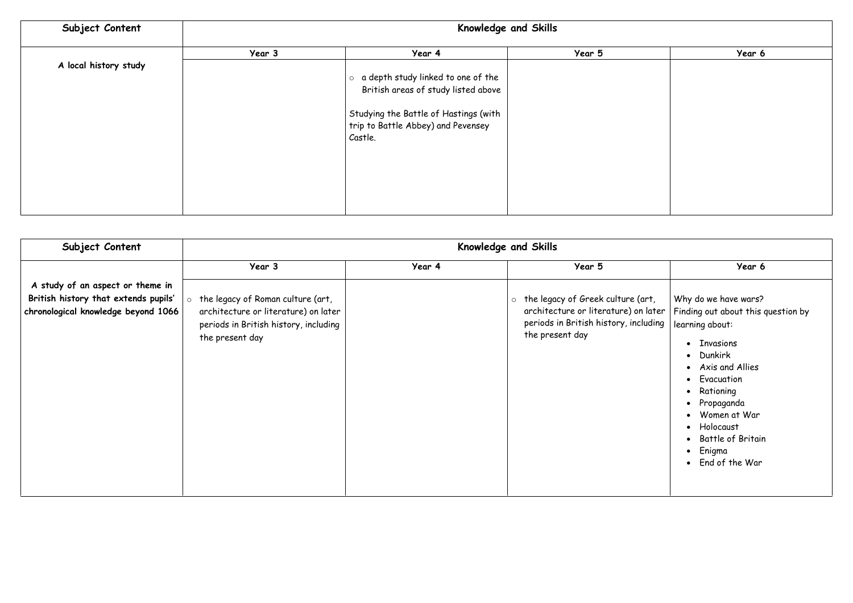| Subject Content       | Knowledge and Skills |                                            |        |        |
|-----------------------|----------------------|--------------------------------------------|--------|--------|
|                       | Year 3               | Year 4                                     | Year 5 | Year 6 |
| A local history study |                      |                                            |        |        |
|                       |                      | $\circ$ a depth study linked to one of the |        |        |
|                       |                      | British areas of study listed above        |        |        |
|                       |                      | Studying the Battle of Hastings (with      |        |        |
|                       |                      | trip to Battle Abbey) and Pevensey         |        |        |
|                       |                      | Castle.                                    |        |        |
|                       |                      |                                            |        |        |
|                       |                      |                                            |        |        |
|                       |                      |                                            |        |        |
|                       |                      |                                            |        |        |
|                       |                      |                                            |        |        |
|                       |                      |                                            |        |        |

| Subject Content                                                                                                 |                                                                                                                                       | Knowledge and Skills |                                                                                                                                                  |                                                                                                                                                                                                                                                                                                                                                                        |  |  |
|-----------------------------------------------------------------------------------------------------------------|---------------------------------------------------------------------------------------------------------------------------------------|----------------------|--------------------------------------------------------------------------------------------------------------------------------------------------|------------------------------------------------------------------------------------------------------------------------------------------------------------------------------------------------------------------------------------------------------------------------------------------------------------------------------------------------------------------------|--|--|
|                                                                                                                 | Year 3                                                                                                                                | Year 4               | Year 5                                                                                                                                           | Year 6                                                                                                                                                                                                                                                                                                                                                                 |  |  |
| A study of an aspect or theme in<br>British history that extends pupils'<br>chronological knowledge beyond 1066 | the legacy of Roman culture (art,<br>architecture or literature) on later<br>periods in British history, including<br>the present day |                      | the legacy of Greek culture (art,<br>$\circ$<br>architecture or literature) on later<br>periods in British history, including<br>the present day | Why do we have wars?<br>Finding out about this question by<br>learning about:<br>Invasions<br>$\bullet$<br>Dunkirk<br>$\bullet$<br>Axis and Allies<br>$\bullet$<br>Evacuation<br>$\bullet$<br>Rationing<br>$\bullet$<br>Propaganda<br>$\bullet$<br>Women at War<br>$\bullet$<br>Holocaust<br>$\bullet$<br>Battle of Britain<br>$\bullet$<br>Enigma<br>• End of the War |  |  |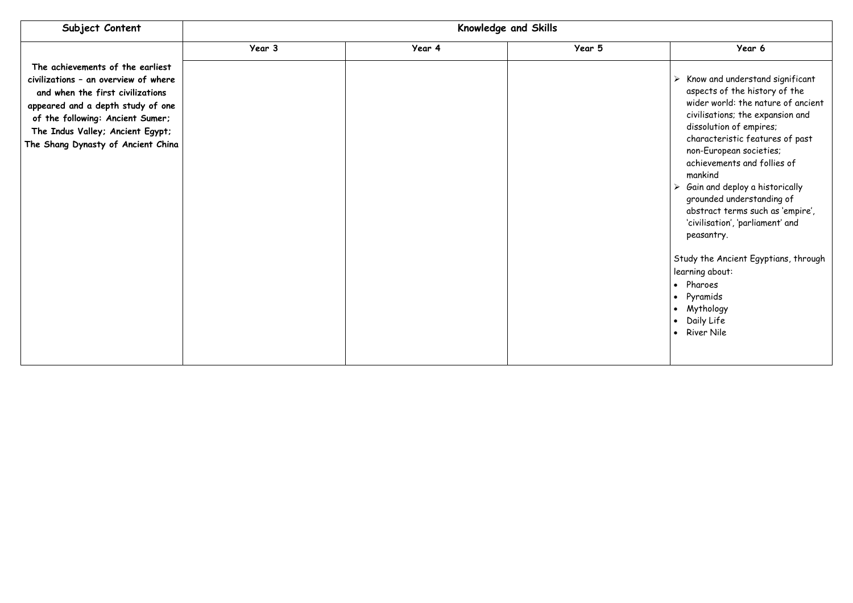| Subject Content                                                                                           |        | Knowledge and Skills |        |  |  |  |
|-----------------------------------------------------------------------------------------------------------|--------|----------------------|--------|--|--|--|
| The achievements of the earliest<br>civilizations - an overview of where                                  | Year 3 | Year 4               | Year 5 |  |  |  |
| and when the first civilizations<br>appeared and a depth study of one<br>of the following: Ancient Sumer; |        |                      |        |  |  |  |
| The Indus Valley; Ancient Egypt;<br>The Shang Dynasty of Ancient China                                    |        |                      |        |  |  |  |
|                                                                                                           |        |                      |        |  |  |  |
|                                                                                                           |        |                      |        |  |  |  |
|                                                                                                           |        |                      |        |  |  |  |
|                                                                                                           |        |                      |        |  |  |  |
|                                                                                                           |        |                      |        |  |  |  |
|                                                                                                           |        |                      |        |  |  |  |
|                                                                                                           |        |                      |        |  |  |  |

|   | Year 6                                                                                                                                                                                                                                                                                                                                                                                                                                              |
|---|-----------------------------------------------------------------------------------------------------------------------------------------------------------------------------------------------------------------------------------------------------------------------------------------------------------------------------------------------------------------------------------------------------------------------------------------------------|
| ➤ | Know and understand significant<br>aspects of the history of the<br>wider world: the nature of ancient<br>civilisations; the expansion and<br>dissolution of empires;<br>characteristic features of past<br>non-European societies;<br>achievements and follies of<br>mankind<br>$\triangleright$ Gain and deploy a historically<br>grounded understanding of<br>abstract terms such as 'empire',<br>'civilisation', 'parliament' and<br>peasantry. |
|   | Study the Ancient Egyptians, through<br>learning about:<br>Pharoes<br>• Pyramids<br>• Mythology<br>• Daily Life<br><b>River Nile</b>                                                                                                                                                                                                                                                                                                                |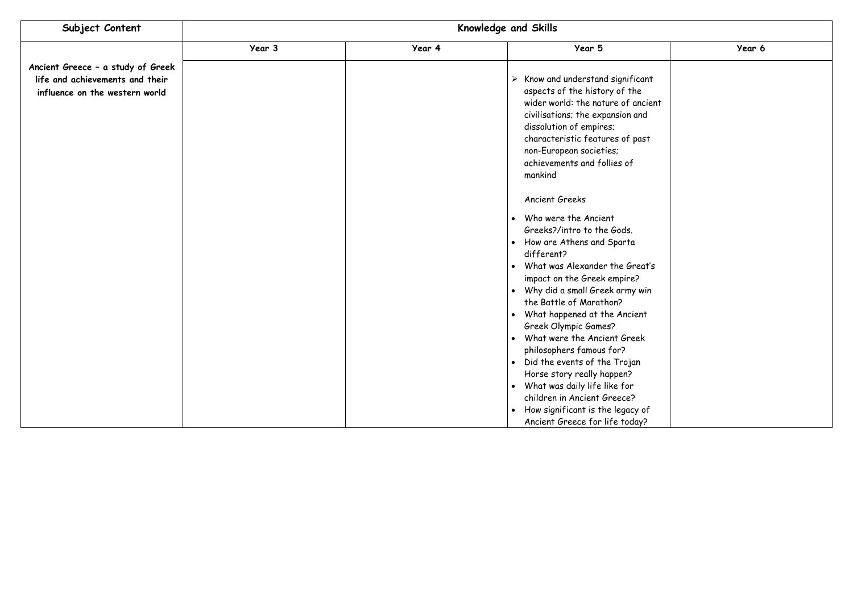| Subject Content                   | Knowledge and Skills |        |                                                                  |        |  |
|-----------------------------------|----------------------|--------|------------------------------------------------------------------|--------|--|
|                                   | Year 3               | Year 4 | Year 5                                                           | Year 6 |  |
| Ancient Greece - a study of Greek |                      |        |                                                                  |        |  |
| life and achievements and their   |                      |        | Know and understand significant<br>➤                             |        |  |
| influence on the western world    |                      |        | aspects of the history of the                                    |        |  |
|                                   |                      |        | wider world: the nature of ancient                               |        |  |
|                                   |                      |        | civilisations; the expansion and                                 |        |  |
|                                   |                      |        | dissolution of empires;                                          |        |  |
|                                   |                      |        | characteristic features of past                                  |        |  |
|                                   |                      |        | non-European societies;                                          |        |  |
|                                   |                      |        | achievements and follies of                                      |        |  |
|                                   |                      |        | mankind                                                          |        |  |
|                                   |                      |        | <b>Ancient Greeks</b>                                            |        |  |
|                                   |                      |        | Who were the Ancient<br>$\bullet$                                |        |  |
|                                   |                      |        | Greeks?/intro to the Gods.                                       |        |  |
|                                   |                      |        | How are Athens and Sparta<br>$\bullet$                           |        |  |
|                                   |                      |        | different?                                                       |        |  |
|                                   |                      |        | What was Alexander the Great's<br>$\bullet$                      |        |  |
|                                   |                      |        | impact on the Greek empire?                                      |        |  |
|                                   |                      |        | Why did a small Greek army win<br>$\bullet$                      |        |  |
|                                   |                      |        | the Battle of Marathon?                                          |        |  |
|                                   |                      |        | What happened at the Ancient<br>$\bullet$                        |        |  |
|                                   |                      |        | Greek Olympic Games?<br>What were the Ancient Greek<br>$\bullet$ |        |  |
|                                   |                      |        | philosophers famous for?                                         |        |  |
|                                   |                      |        | Did the events of the Trojan<br>$\bullet$                        |        |  |
|                                   |                      |        | Horse story really happen?                                       |        |  |
|                                   |                      |        | What was daily life like for<br>$\bullet$                        |        |  |
|                                   |                      |        | children in Ancient Greece?                                      |        |  |
|                                   |                      |        | How significant is the legacy of<br>$\bullet$                    |        |  |
|                                   |                      |        | Ancient Greece for life today?                                   |        |  |

|                | Year 6 |
|----------------|--------|
|                |        |
| nt             |        |
| :ient<br>ł     |        |
| st             |        |
|                |        |
|                |        |
|                |        |
|                |        |
|                |        |
|                |        |
|                |        |
| it's           |        |
| in             |        |
| t              |        |
|                |        |
|                |        |
|                |        |
|                |        |
|                |        |
| <sup>o</sup> f |        |
| 2              |        |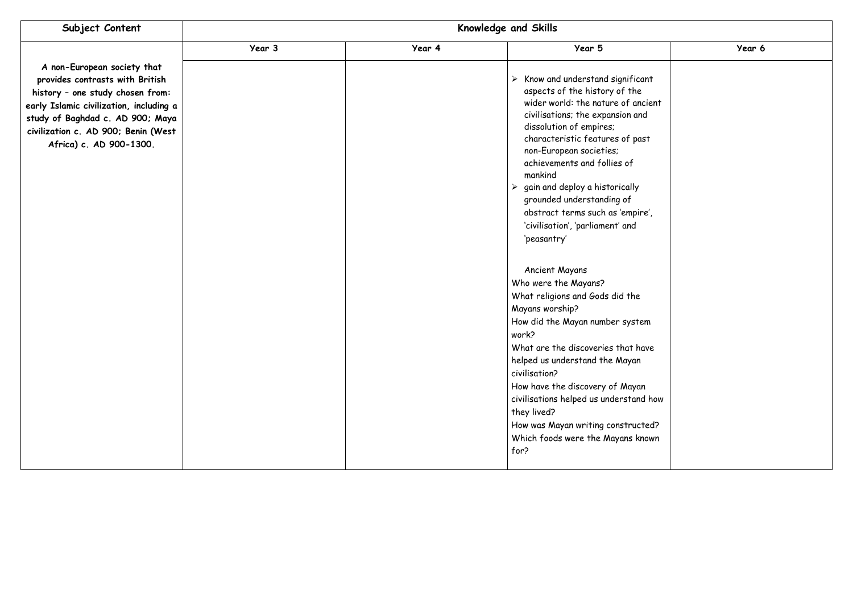| Subject Content                                                                                                                                                                                                                                     | Knowledge and Skills |        |                                                                                                                                                                                                                                                                                                                                                                                                                         |        |  |
|-----------------------------------------------------------------------------------------------------------------------------------------------------------------------------------------------------------------------------------------------------|----------------------|--------|-------------------------------------------------------------------------------------------------------------------------------------------------------------------------------------------------------------------------------------------------------------------------------------------------------------------------------------------------------------------------------------------------------------------------|--------|--|
|                                                                                                                                                                                                                                                     | Year 3               | Year 4 | Year 5                                                                                                                                                                                                                                                                                                                                                                                                                  | Year 6 |  |
| A non-European society that<br>provides contrasts with British<br>history - one study chosen from:<br>early Islamic civilization, including a<br>study of Baghdad c. AD 900; Maya<br>civilization c. AD 900; Benin (West<br>Africa) c. AD 900-1300. |                      |        |                                                                                                                                                                                                                                                                                                                                                                                                                         |        |  |
|                                                                                                                                                                                                                                                     |                      |        | <b>Ancient Mayans</b><br>Who were the Mayans?<br>What religions and Gods did the<br>Mayans worship?<br>How did the Mayan number system<br>work?<br>What are the discoveries that have<br>helped us understand the Mayan<br>civilisation?<br>How have the discovery of Mayan<br>civilisations helped us understand how<br>they lived?<br>How was Mayan writing constructed?<br>Which foods were the Mayans known<br>for? |        |  |

|       | Year 6 |
|-------|--------|
|       |        |
| nt    |        |
|       |        |
| :ient |        |
| ł     |        |
| st    |        |
|       |        |
|       |        |
|       |        |
|       |        |
| e',   |        |
|       |        |
|       |        |
|       |        |
|       |        |
|       |        |
|       |        |
|       |        |
| m     |        |
|       |        |
| ive   |        |
|       |        |
|       |        |
| how   |        |
|       |        |
| .ed?  |        |
| own   |        |
|       |        |
|       |        |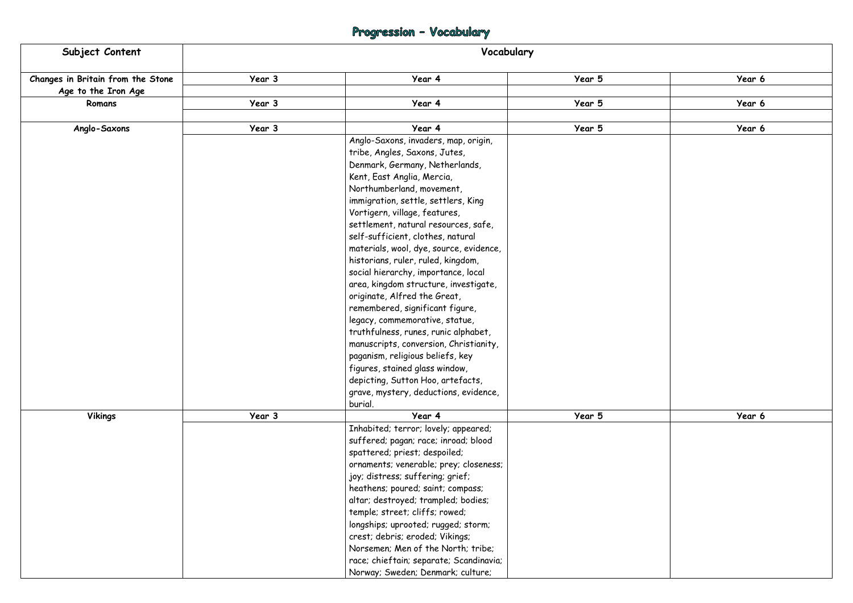# Progression - Vocabulary

| Subject Content                   | Vocabulary |                                                                                                                                                                                                                                                                                                                                                                                                                                                                                                                                                                                                                                                                                                                                                                                                                                     |        |        |  |  |
|-----------------------------------|------------|-------------------------------------------------------------------------------------------------------------------------------------------------------------------------------------------------------------------------------------------------------------------------------------------------------------------------------------------------------------------------------------------------------------------------------------------------------------------------------------------------------------------------------------------------------------------------------------------------------------------------------------------------------------------------------------------------------------------------------------------------------------------------------------------------------------------------------------|--------|--------|--|--|
| Changes in Britain from the Stone | Year 3     | Year 4                                                                                                                                                                                                                                                                                                                                                                                                                                                                                                                                                                                                                                                                                                                                                                                                                              | Year 5 | Year 6 |  |  |
| Age to the Iron Age               |            |                                                                                                                                                                                                                                                                                                                                                                                                                                                                                                                                                                                                                                                                                                                                                                                                                                     |        |        |  |  |
| Romans                            | Year 3     | Year 4                                                                                                                                                                                                                                                                                                                                                                                                                                                                                                                                                                                                                                                                                                                                                                                                                              | Year 5 | Year 6 |  |  |
| Anglo-Saxons                      | Year 3     | Year 4                                                                                                                                                                                                                                                                                                                                                                                                                                                                                                                                                                                                                                                                                                                                                                                                                              | Year 5 | Year 6 |  |  |
|                                   |            | Anglo-Saxons, invaders, map, origin,<br>tribe, Angles, Saxons, Jutes,<br>Denmark, Germany, Netherlands,<br>Kent, East Anglia, Mercia,<br>Northumberland, movement,<br>immigration, settle, settlers, King<br>Vortigern, village, features,<br>settlement, natural resources, safe,<br>self-sufficient, clothes, natural<br>materials, wool, dye, source, evidence,<br>historians, ruler, ruled, kingdom,<br>social hierarchy, importance, local<br>area, kingdom structure, investigate,<br>originate, Alfred the Great,<br>remembered, significant figure,<br>legacy, commemorative, statue,<br>truthfulness, runes, runic alphabet,<br>manuscripts, conversion, Christianity,<br>paganism, religious beliefs, key<br>figures, stained glass window,<br>depicting, Sutton Hoo, artefacts,<br>grave, mystery, deductions, evidence, |        |        |  |  |
|                                   |            | burial.                                                                                                                                                                                                                                                                                                                                                                                                                                                                                                                                                                                                                                                                                                                                                                                                                             |        |        |  |  |
| <b>Vikings</b>                    | Year 3     | Year 4                                                                                                                                                                                                                                                                                                                                                                                                                                                                                                                                                                                                                                                                                                                                                                                                                              | Year 5 | Year 6 |  |  |
|                                   |            | Inhabited; terror; lovely; appeared;<br>suffered; pagan; race; inroad; blood<br>spattered; priest; despoiled;<br>ornaments; venerable; prey; closeness;<br>joy; distress; suffering; grief;<br>heathens; poured; saint; compass;<br>altar; destroyed; trampled; bodies;<br>temple; street; cliffs; rowed;<br>longships; uprooted; rugged; storm;<br>crest; debris; eroded; Vikings;<br>Norsemen; Men of the North; tribe;<br>race; chieftain; separate; Scandinavia;<br>Norway; Sweden; Denmark; culture;                                                                                                                                                                                                                                                                                                                           |        |        |  |  |

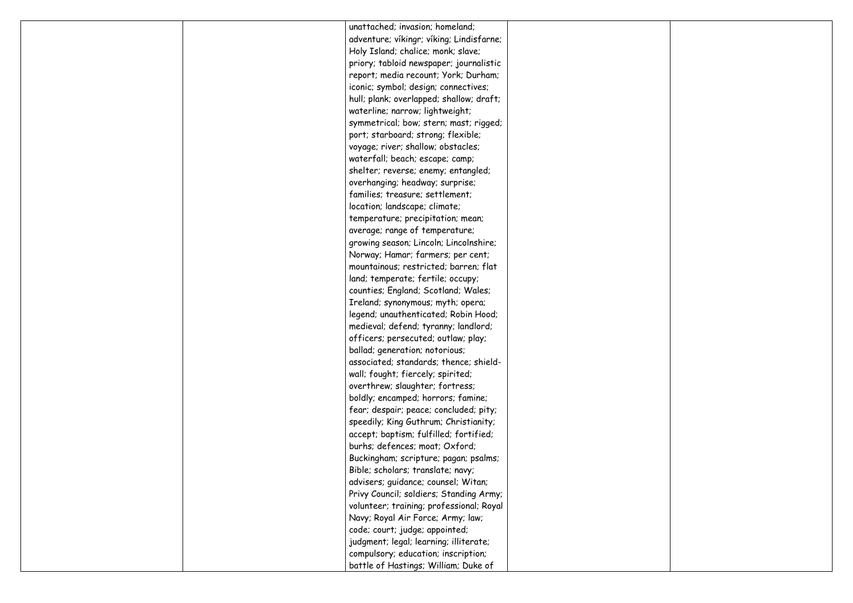|  | unattached; invasion; homeland;          |  |
|--|------------------------------------------|--|
|  | adventure; víkingr; víking; Lindisfarne; |  |
|  | Holy Island; chalice; monk; slave;       |  |
|  | priory; tabloid newspaper; journalistic  |  |
|  | report; media recount; York; Durham;     |  |
|  | iconic; symbol; design; connectives;     |  |
|  | hull; plank; overlapped; shallow; draft; |  |
|  | waterline; narrow; lightweight;          |  |
|  | symmetrical; bow; stern; mast; rigged;   |  |
|  | port; starboard; strong; flexible;       |  |
|  | voyage; river; shallow; obstacles;       |  |
|  | waterfall; beach; escape; camp;          |  |
|  | shelter; reverse; enemy; entangled;      |  |
|  | overhanging; headway; surprise;          |  |
|  | families; treasure; settlement;          |  |
|  | location; landscape; climate;            |  |
|  | temperature; precipitation; mean;        |  |
|  | average; range of temperature;           |  |
|  | growing season; Lincoln; Lincolnshire;   |  |
|  | Norway; Hamar; farmers; per cent;        |  |
|  | mountainous; restricted; barren; flat    |  |
|  | land; temperate; fertile; occupy;        |  |
|  | counties; England; Scotland; Wales;      |  |
|  | Ireland; synonymous; myth; opera;        |  |
|  | legend; unauthenticated; Robin Hood;     |  |
|  | medieval; defend; tyranny; landlord;     |  |
|  | officers; persecuted; outlaw; play;      |  |
|  | ballad; generation; notorious;           |  |
|  | associated; standards; thence; shield-   |  |
|  | wall; fought; fiercely; spirited;        |  |
|  | overthrew; slaughter; fortress;          |  |
|  | boldly; encamped; horrors; famine;       |  |
|  | fear; despair; peace; concluded; pity;   |  |
|  | speedily; King Guthrum; Christianity;    |  |
|  | accept; baptism; fulfilled; fortified;   |  |
|  | burhs; defences; moat; Oxford;           |  |
|  | Buckingham; scripture; pagan; psalms;    |  |
|  | Bible; scholars; translate; navy;        |  |
|  | advisers; guidance; counsel; Witan;      |  |
|  | Privy Council; soldiers; Standing Army;  |  |
|  | volunteer; training; professional; Royal |  |
|  | Navy; Royal Air Force; Army; law;        |  |
|  | code; court; judge; appointed;           |  |
|  | judgment; legal; learning; illiterate;   |  |
|  | compulsory; education; inscription;      |  |
|  | battle of Hastings; William; Duke of     |  |

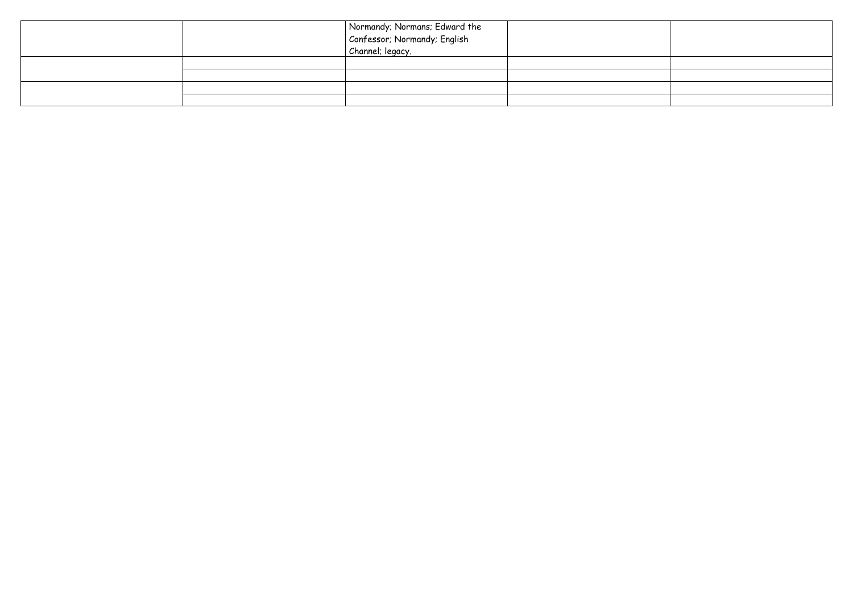|  | Normandy; Normans; Edward the<br>Confessor; Normandy; English<br>Channel; legacy. |  |
|--|-----------------------------------------------------------------------------------|--|
|  |                                                                                   |  |
|  |                                                                                   |  |
|  |                                                                                   |  |
|  |                                                                                   |  |
|  |                                                                                   |  |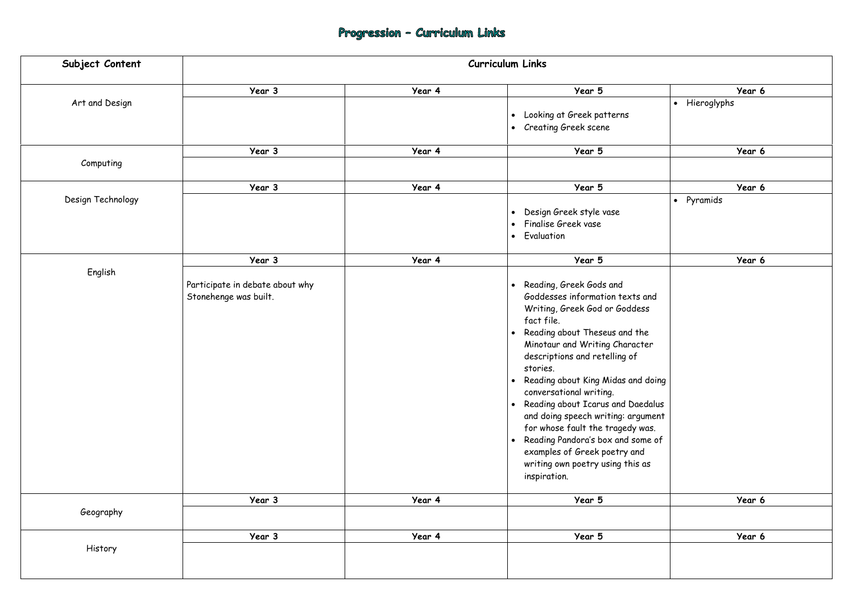# Progression - Curriculum Links

| Subject Content   |                                                          |        | Curriculum Links                                                                                                                                                                                                                                                                                                                                                                                                                                                                                                                                                                                    |                          |
|-------------------|----------------------------------------------------------|--------|-----------------------------------------------------------------------------------------------------------------------------------------------------------------------------------------------------------------------------------------------------------------------------------------------------------------------------------------------------------------------------------------------------------------------------------------------------------------------------------------------------------------------------------------------------------------------------------------------------|--------------------------|
|                   | Year 3                                                   | Year 4 | Year 5                                                                                                                                                                                                                                                                                                                                                                                                                                                                                                                                                                                              | Year 6                   |
| Art and Design    |                                                          |        | Looking at Greek patterns<br>$\bullet$<br><b>Creating Greek scene</b><br>$\bullet$                                                                                                                                                                                                                                                                                                                                                                                                                                                                                                                  | Hieroglyphs<br>$\bullet$ |
| Computing         | Year 3                                                   | Year 4 | Year 5                                                                                                                                                                                                                                                                                                                                                                                                                                                                                                                                                                                              | Year 6                   |
|                   | Year 3                                                   | Year 4 | Year 5                                                                                                                                                                                                                                                                                                                                                                                                                                                                                                                                                                                              | Year 6                   |
| Design Technology |                                                          |        | Design Greek style vase<br>$\bullet$<br>Finalise Greek vase<br>$\bullet$<br>Evaluation<br>$\bullet$                                                                                                                                                                                                                                                                                                                                                                                                                                                                                                 | Pyramids<br>$\bullet$    |
|                   | Year 3                                                   | Year 4 | Year 5                                                                                                                                                                                                                                                                                                                                                                                                                                                                                                                                                                                              | Year 6                   |
| English           | Participate in debate about why<br>Stonehenge was built. |        | Reading, Greek Gods and<br>$\bullet$<br>Goddesses information texts and<br>Writing, Greek God or Goddess<br>fact file.<br>Reading about Theseus and the<br>$\bullet$<br>Minotaur and Writing Character<br>descriptions and retelling of<br>stories.<br>Reading about King Midas and doing<br>$\bullet$<br>conversational writing.<br>Reading about Icarus and Daedalus<br>$\bullet$<br>and doing speech writing: argument<br>for whose fault the tragedy was.<br>Reading Pandora's box and some of<br>$\bullet$<br>examples of Greek poetry and<br>writing own poetry using this as<br>inspiration. |                          |
| Geography         | Year 3                                                   | Year 4 | Year 5                                                                                                                                                                                                                                                                                                                                                                                                                                                                                                                                                                                              | Year 6                   |
|                   | Year 3                                                   | Year 4 | Year 5                                                                                                                                                                                                                                                                                                                                                                                                                                                                                                                                                                                              | Year 6                   |
| History           |                                                          |        |                                                                                                                                                                                                                                                                                                                                                                                                                                                                                                                                                                                                     |                          |

|              |           |               | Year 6 |  |
|--------------|-----------|---------------|--------|--|
|              |           | • Hieroglyphs |        |  |
|              |           |               |        |  |
|              |           |               |        |  |
|              |           |               | Year 6 |  |
|              |           |               |        |  |
|              |           |               |        |  |
|              | $\bullet$ | Pyramids      | Year 6 |  |
|              |           |               |        |  |
|              |           |               |        |  |
|              |           |               |        |  |
|              |           |               | Year 6 |  |
|              |           |               |        |  |
|              |           |               |        |  |
| and          |           |               |        |  |
| S            |           |               |        |  |
| e            |           |               |        |  |
| er           |           |               |        |  |
|              |           |               |        |  |
| doing        |           |               |        |  |
|              |           |               |        |  |
| dalus        |           |               |        |  |
| ment         |           |               |        |  |
| as.<br>ie of |           |               |        |  |
|              |           |               |        |  |
| lS           |           |               |        |  |
|              |           |               |        |  |
|              |           |               | Year 6 |  |
|              |           |               |        |  |
|              |           |               |        |  |
|              |           |               | Year 6 |  |
|              |           |               |        |  |
|              |           |               |        |  |